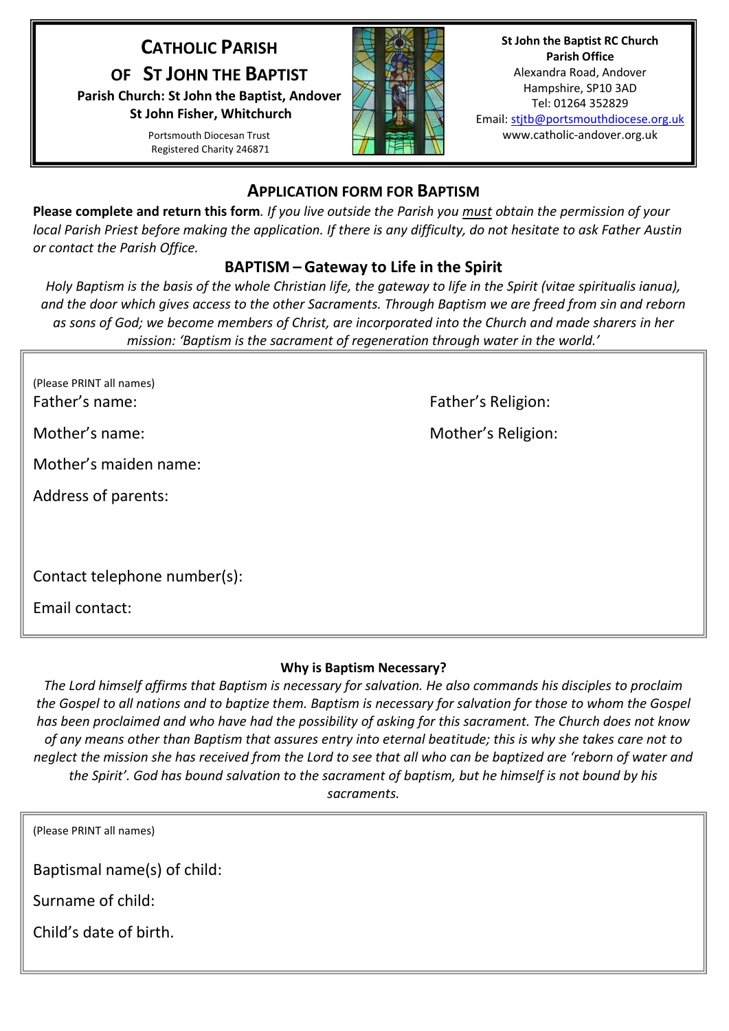# **CATHOLIC PARISH**

**OF ST JOHN THE BAPTIST**

**Parish Church: St John the Baptist, Andover St John Fisher, Whitchurch**

> Portsmouth Diocesan Trust Registered Charity 246871



**St John the Baptist RC Church Parish Office** Alexandra Road, Andover Hampshire, SP10 3AD Tel: 01264 352829 Email: stjtb@portsmouthdiocese.org.uk www.catholic-andover.org.uk

## **APPLICATION FORM FOR BAPTISM**

**Please complete and return this form***. If you live outside the Parish you must obtain the permission of your local Parish Priest before making the application. If there is any difficulty, do not hesitate to ask Father Austin or contact the Parish Office.*

## **BAPTISM – Gateway to Life in the Spirit**

*Holy Baptism is the basis of the whole Christian life, the gateway to life in the Spirit (vitae spiritualis ianua), and the door which gives access to the other Sacraments. Through Baptism we are freed from sin and reborn as sons of God; we become members of Christ, are incorporated into the Church and made sharers in her mission: 'Baptism is the sacrament of regeneration through water in the world.'*

| (Please PRINT all names) |
|--------------------------|
| Father's name:           |

Mother's maiden name:

Address of parents:

Contact telephone number(s):

Email contact:

Father's Religion:

Mother's name: Mother's Religion:

## **Why is Baptism Necessary?**

*The Lord himself affirms that Baptism is necessary for salvation. He also commands his disciples to proclaim the Gospel to all nations and to baptize them. Baptism is necessary for salvation for those to whom the Gospel has been proclaimed and who have had the possibility of asking for this sacrament. The Church does not know of any means other than Baptism that assures entry into eternal beatitude; this is why she takes care not to neglect the mission she has received from the Lord to see that all who can be baptized are 'reborn of water and the Spirit'. God has bound salvation to the sacrament of baptism, but he himself is not bound by his sacraments.*

| (Please PRINT all names)    |
|-----------------------------|
| Baptismal name(s) of child: |
| Surname of child:           |
| Child's date of birth.      |
|                             |